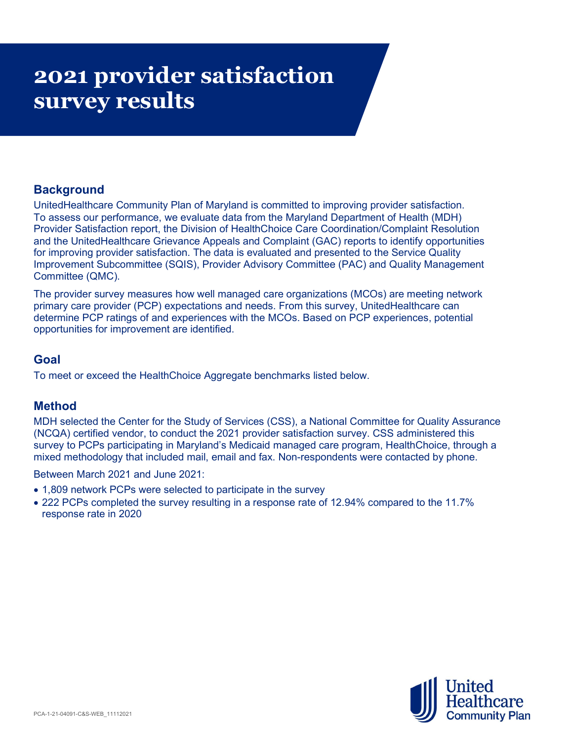# 2021 provider satisfaction survey results

# **Background**

UnitedHealthcare Community Plan of Maryland is committed to improving provider satisfaction. To assess our performance, we evaluate data from the Maryland Department of Health (MDH) Provider Satisfaction report, the Division of HealthChoice Care Coordination/Complaint Resolution and the UnitedHealthcare Grievance Appeals and Complaint (GAC) reports to identify opportunities for improving provider satisfaction. The data is evaluated and presented to the Service Quality Improvement Subcommittee (SQIS), Provider Advisory Committee (PAC) and Quality Management Committee (QMC).

The provider survey measures how well managed care organizations (MCOs) are meeting network primary care provider (PCP) expectations and needs. From this survey, UnitedHealthcare can determine PCP ratings of and experiences with the MCOs. Based on PCP experiences, potential opportunities for improvement are identified.

### Goal

To meet or exceed the HealthChoice Aggregate benchmarks listed below.

## Method

MDH selected the Center for the Study of Services (CSS), a National Committee for Quality Assurance (NCQA) certified vendor, to conduct the 2021 provider satisfaction survey. CSS administered this survey to PCPs participating in Maryland's Medicaid managed care program, HealthChoice, through a mixed methodology that included mail, email and fax. Non-respondents were contacted by phone.

Between March 2021 and June 2021:

- 1,809 network PCPs were selected to participate in the survey
- 222 PCPs completed the survey resulting in a response rate of 12.94% compared to the 11.7% response rate in 2020

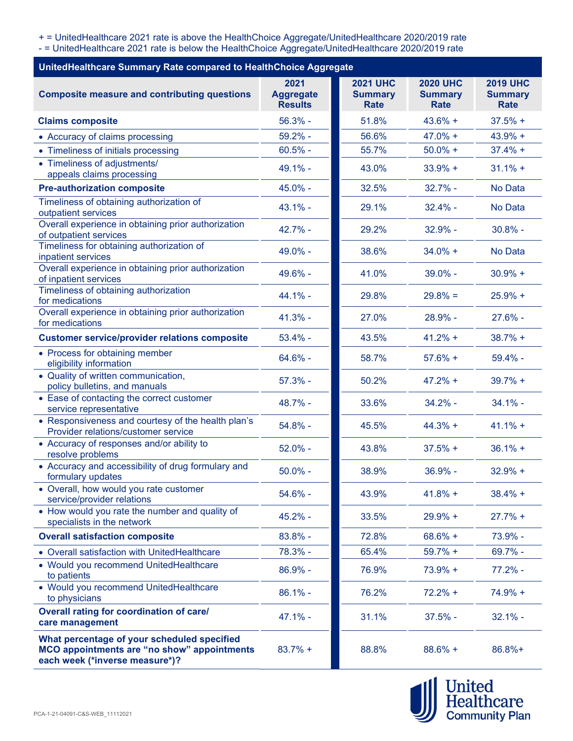+ = UnitedHealthcare 2021 rate is above the HealthChoice Aggregate/UnitedHealthcare 2020/2019 rate

- = UnitedHealthcare 2021 rate is below the HealthChoice Aggregate/UnitedHealthcare 2020/2019 rate

| UnitedHealthcare Summary Rate compared to HealthChoice Aggregate                                                                    |                                            |                                           |                                                  |                                                  |
|-------------------------------------------------------------------------------------------------------------------------------------|--------------------------------------------|-------------------------------------------|--------------------------------------------------|--------------------------------------------------|
| <b>Composite measure and contributing questions</b>                                                                                 | 2021<br><b>Aggregate</b><br><b>Results</b> | <b>2021 UHC</b><br><b>Summary</b><br>Rate | <b>2020 UHC</b><br><b>Summary</b><br><b>Rate</b> | <b>2019 UHC</b><br><b>Summary</b><br><b>Rate</b> |
| <b>Claims composite</b>                                                                                                             | $56.3%$ -                                  | 51.8%                                     | $43.6% +$                                        | $37.5% +$                                        |
| • Accuracy of claims processing                                                                                                     | $59.2%$ -                                  | 56.6%                                     | $47.0% +$                                        | $43.9% +$                                        |
| • Timeliness of initials processing                                                                                                 | $60.5%$ -                                  | 55.7%                                     | $50.0% +$                                        | $37.4% +$                                        |
| • Timeliness of adjustments/<br>appeals claims processing                                                                           | 49.1% -                                    | 43.0%                                     | $33.9% +$                                        | $31.1% +$                                        |
| <b>Pre-authorization composite</b>                                                                                                  | 45.0% -                                    | 32.5%                                     | $32.7%$ -                                        | No Data                                          |
| Timeliness of obtaining authorization of<br>outpatient services                                                                     | $43.1%$ -                                  | 29.1%                                     | $32.4% -$                                        | No Data                                          |
| Overall experience in obtaining prior authorization<br>of outpatient services                                                       | 42.7% -                                    | 29.2%                                     | $32.9% -$                                        | $30.8%$ -                                        |
| Timeliness for obtaining authorization of<br>inpatient services                                                                     | 49.0% -                                    | 38.6%                                     | $34.0% +$                                        | No Data                                          |
| Overall experience in obtaining prior authorization<br>of inpatient services                                                        | 49.6% -                                    | 41.0%                                     | $39.0\%$ -                                       | $30.9% +$                                        |
| Timeliness of obtaining authorization<br>for medications                                                                            | 44.1% -                                    | 29.8%                                     | $29.8% =$                                        | $25.9% +$                                        |
| Overall experience in obtaining prior authorization<br>for medications                                                              | $41.3%$ -                                  | 27.0%                                     | 28.9% -                                          | $27.6%$ -                                        |
| <b>Customer service/provider relations composite</b>                                                                                | $53.4%$ -                                  | 43.5%                                     | $41.2% +$                                        | $38.7%$ +                                        |
| • Process for obtaining member<br>eligibility information                                                                           | 64.6% -                                    | 58.7%                                     | $57.6% +$                                        | $59.4%$ -                                        |
| • Quality of written communication,<br>policy bulletins, and manuals                                                                | $57.3%$ -                                  | 50.2%                                     | $47.2% +$                                        | $39.7% +$                                        |
| • Ease of contacting the correct customer<br>service representative                                                                 | 48.7% -                                    | 33.6%                                     | $34.2% -$                                        | $34.1%$ -                                        |
| • Responsiveness and courtesy of the health plan's<br>Provider relations/customer service                                           | 54.8% -                                    | 45.5%                                     | $44.3% +$                                        | $41.1% +$                                        |
| • Accuracy of responses and/or ability to<br>resolve problems                                                                       | $52.0\%$ -                                 | 43.8%                                     | $37.5% +$                                        | $36.1% +$                                        |
| • Accuracy and accessibility of drug formulary and<br>formulary updates                                                             | $50.0\%$ -                                 | 38.9%                                     | $36.9% -$                                        | $32.9% +$                                        |
| • Overall, how would you rate customer<br>service/provider relations                                                                | 54.6% -                                    | 43.9%                                     | $41.8% +$                                        | $38.4% +$                                        |
| • How would you rate the number and quality of<br>specialists in the network                                                        | $45.2%$ -                                  | 33.5%                                     | $29.9% +$                                        | $27.7% +$                                        |
| <b>Overall satisfaction composite</b>                                                                                               | 83.8% -                                    | 72.8%                                     | $68.6% +$                                        | 73.9% -                                          |
| • Overall satisfaction with UnitedHealthcare                                                                                        | 78.3% -                                    | 65.4%                                     | $59.7% +$                                        | 69.7% -                                          |
| • Would you recommend UnitedHealthcare<br>to patients                                                                               | 86.9% -                                    | 76.9%                                     | $73.9% +$                                        | 77.2% -                                          |
| • Would you recommend UnitedHealthcare<br>to physicians                                                                             | $86.1%$ -                                  | 76.2%                                     | $72.2% +$                                        | $74.9% +$                                        |
| Overall rating for coordination of care/<br>care management                                                                         | $47.1% -$                                  | 31.1%                                     | $37.5%$ -                                        | $32.1%$ -                                        |
| What percentage of your scheduled specified<br><b>MCO appointments are "no show" appointments</b><br>each week (*inverse measure*)? | $83.7% +$                                  | 88.8%                                     | $88.6\% +$                                       | 86.8%+                                           |

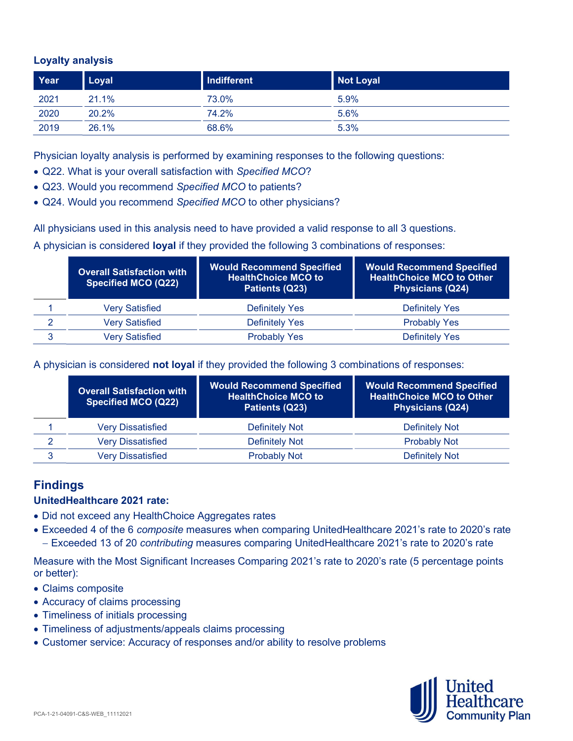#### Loyalty analysis

| Year | Loyal | Indifferent | Not Loyal |
|------|-------|-------------|-----------|
| 2021 | 21.1% | 73.0%       | 5.9%      |
| 2020 | 20.2% | 74.2%       | 5.6%      |
| 2019 | 26.1% | 68.6%       | 5.3%      |

Physician loyalty analysis is performed by examining responses to the following questions:

- Q22. What is your overall satisfaction with Specified MCO?
- Q23. Would you recommend Specified MCO to patients?
- Q24. Would you recommend Specified MCO to other physicians?

All physicians used in this analysis need to have provided a valid response to all 3 questions.

A physician is considered loyal if they provided the following 3 combinations of responses:

|   | <b>Overall Satisfaction with</b><br>Specified MCO (Q22) | <b>Would Recommend Specified</b><br><b>HealthChoice MCO to</b><br>Patients (Q23) | <b>Would Recommend Specified</b><br><b>HealthChoice MCO to Other</b><br><b>Physicians (Q24)</b> |
|---|---------------------------------------------------------|----------------------------------------------------------------------------------|-------------------------------------------------------------------------------------------------|
|   | Very Satisfied                                          | <b>Definitely Yes</b>                                                            | <b>Definitely Yes</b>                                                                           |
| 2 | <b>Very Satisfied</b>                                   | <b>Definitely Yes</b>                                                            | <b>Probably Yes</b>                                                                             |
| 3 | <b>Very Satisfied</b>                                   | <b>Probably Yes</b>                                                              | <b>Definitely Yes</b>                                                                           |

A physician is considered not loyal if they provided the following 3 combinations of responses:

|   | <b>Overall Satisfaction with</b><br><b>Specified MCO (Q22)</b> | <b>Would Recommend Specified</b><br><b>HealthChoice MCO to</b><br>Patients (Q23) | <b>Would Recommend Specified</b><br><b>HealthChoice MCO to Other</b><br><b>Physicians (Q24)</b> |
|---|----------------------------------------------------------------|----------------------------------------------------------------------------------|-------------------------------------------------------------------------------------------------|
|   | Very Dissatisfied                                              | Definitely Not                                                                   | Definitely Not                                                                                  |
| 2 | <b>Very Dissatisfied</b>                                       | Definitely Not                                                                   | <b>Probably Not</b>                                                                             |
| 3 | Very Dissatisfied                                              | <b>Probably Not</b>                                                              | Definitely Not                                                                                  |

# Findings

#### UnitedHealthcare 2021 rate:

- Did not exceed any HealthChoice Aggregates rates
- Exceeded 4 of the 6 composite measures when comparing UnitedHealthcare 2021's rate to 2020's rate - Exceeded 13 of 20 *contributing* measures comparing UnitedHealthcare 2021's rate to 2020's rate

Measure with the Most Significant Increases Comparing 2021's rate to 2020's rate (5 percentage points or better):

- Claims composite
- Accuracy of claims processing
- Timeliness of initials processing
- Timeliness of adjustments/appeals claims processing
- Customer service: Accuracy of responses and/or ability to resolve problems